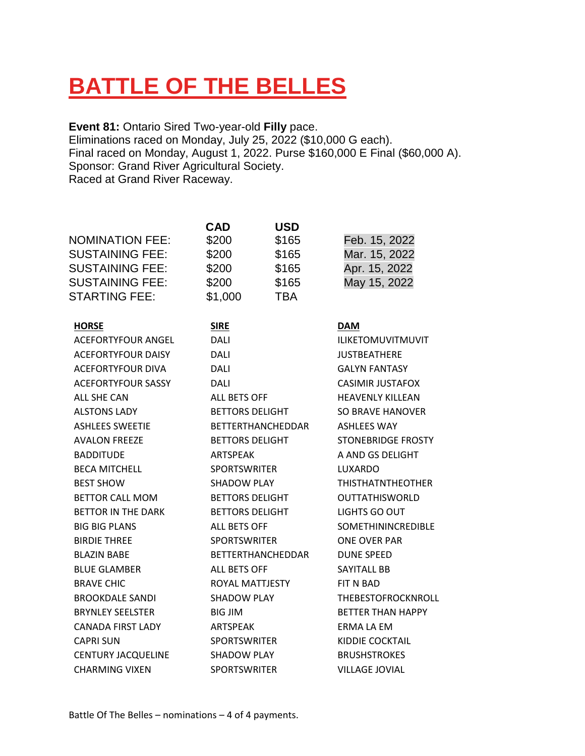# **BATTLE OF THE BELLES**

**Event 81:** Ontario Sired Two-year-old **Filly** pace. Eliminations raced on Monday, July 25, 2022 (\$10,000 G each). Final raced on Monday, August 1, 2022. Purse \$160,000 E Final (\$60,000 A). Sponsor: Grand River Agricultural Society. Raced at Grand River Raceway.

|                           | <b>CAD</b>               | <b>USD</b> |                           |
|---------------------------|--------------------------|------------|---------------------------|
| <b>NOMINATION FEE:</b>    | \$200                    | \$165      | Feb. 15, 2022             |
| <b>SUSTAINING FEE:</b>    | \$200                    | \$165      | Mar. 15, 2022             |
| <b>SUSTAINING FEE:</b>    | \$200                    | \$165      | Apr. 15, 2022             |
| <b>SUSTAINING FEE:</b>    | \$200                    | \$165      | May 15, 2022              |
| <b>STARTING FEE:</b>      | \$1,000                  | <b>TBA</b> |                           |
| <b>HORSE</b>              | <b>SIRE</b>              |            | <b>DAM</b>                |
| ACEFORTYFOUR ANGEL        | DALI                     |            | <b>ILIKETOMUVITMUVIT</b>  |
| <b>ACEFORTYFOUR DAISY</b> | DALI                     |            | <b>JUSTBEATHERE</b>       |
| <b>ACEFORTYFOUR DIVA</b>  | DALI                     |            | <b>GALYN FANTASY</b>      |
| <b>ACEFORTYFOUR SASSY</b> | DALI                     |            | <b>CASIMIR JUSTAFOX</b>   |
| ALL SHE CAN               | ALL BETS OFF             |            | <b>HEAVENLY KILLEAN</b>   |
| <b>ALSTONS LADY</b>       | <b>BETTORS DELIGHT</b>   |            | SO BRAVE HANOVER          |
| <b>ASHLEES SWEETIE</b>    | <b>BETTERTHANCHEDDAR</b> |            | <b>ASHLEES WAY</b>        |
| <b>AVALON FREEZE</b>      | <b>BETTORS DELIGHT</b>   |            | <b>STONEBRIDGE FROSTY</b> |
| <b>BADDITUDE</b>          | <b>ARTSPEAK</b>          |            | A AND GS DELIGHT          |
| <b>BECA MITCHELL</b>      | <b>SPORTSWRITER</b>      |            | LUXARDO                   |
| <b>BEST SHOW</b>          | <b>SHADOW PLAY</b>       |            | <b>THISTHATNTHEOTHER</b>  |
| <b>BETTOR CALL MOM</b>    | <b>BETTORS DELIGHT</b>   |            | <b>OUTTATHISWORLD</b>     |
| <b>BETTOR IN THE DARK</b> | <b>BETTORS DELIGHT</b>   |            | LIGHTS GO OUT             |
| <b>BIG BIG PLANS</b>      | ALL BETS OFF             |            | <b>SOMETHININCREDIBLE</b> |
| <b>BIRDIE THREE</b>       | <b>SPORTSWRITER</b>      |            | <b>ONE OVER PAR</b>       |
| <b>BLAZIN BABE</b>        | <b>BETTERTHANCHEDDAR</b> |            | <b>DUNE SPEED</b>         |
| <b>BLUE GLAMBER</b>       | <b>ALL BETS OFF</b>      |            | SAYITALL BB               |
| <b>BRAVE CHIC</b>         | ROYAL MATTJESTY          |            | FIT N BAD                 |
| <b>BROOKDALE SANDI</b>    | <b>SHADOW PLAY</b>       |            | THEBESTOFROCKNROLL        |
| <b>BRYNLEY SEELSTER</b>   | <b>BIG JIM</b>           |            | <b>BETTER THAN HAPPY</b>  |
| <b>CANADA FIRST LADY</b>  | ARTSPEAK                 |            | ERMA LA EM                |
| <b>CAPRI SUN</b>          | <b>SPORTSWRITER</b>      |            | KIDDIE COCKTAIL           |
| <b>CENTURY JACQUELINE</b> | <b>SHADOW PLAY</b>       |            | <b>BRUSHSTROKES</b>       |
| <b>CHARMING VIXEN</b>     | <b>SPORTSWRITER</b>      |            | <b>VILLAGE JOVIAL</b>     |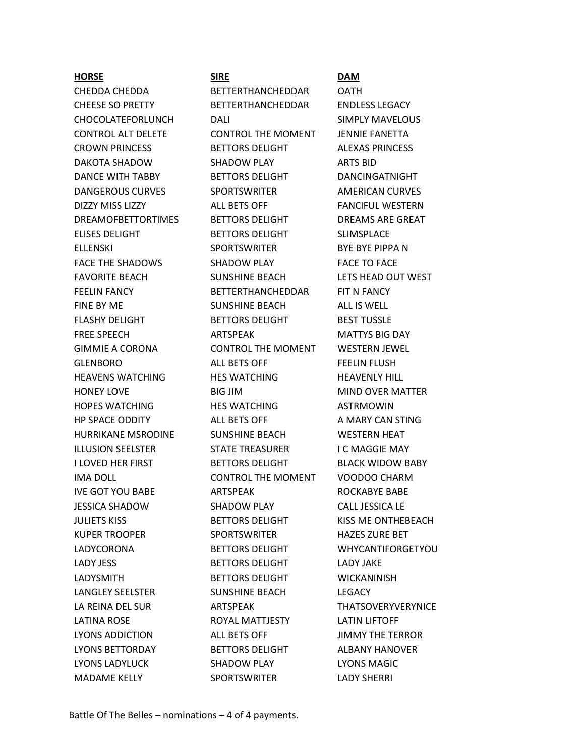### **HORSE SIRE DAM**

CHEDDA CHEDDA BETTERTHANCHEDDAR OATH CHEESE SO PRETTY BETTERTHANCHEDDAR ENDLESS LEGACY CHOCOLATEFORLUNCH DALI DALI SIMPLY MAVELOUS CONTROL ALT DELETE CONTROL THE MOMENT JENNIE FANETTA CROWN PRINCESS BETTORS DELIGHT ALEXAS PRINCESS DAKOTA SHADOW SHADOW PLAY ARTS BID DANCE WITH TABBY BETTORS DELIGHT DANCINGATNIGHT DANGEROUS CURVES SPORTSWRITER AMERICAN CURVES DIZZY MISS LIZZY **ALL BETS OFF FANCIFUL WESTERN** DREAMOFBETTORTIMES BETTORS DELIGHT DREAMS ARE GREAT ELISES DELIGHT BETTORS DELIGHT SLIMSPLACE ELLENSKI SPORTSWRITER BYE BYE PIPPA N FACE THE SHADOWS SHADOW PLAY FACE TO FACE FAVORITE BEACH SUNSHINE BEACH LETS HEAD OUT WEST FEELIN FANCY BETTERTHANCHEDDAR FIT N FANCY FINE BY ME SUNSHINE BEACH ALL IS WELL FLASHY DELIGHT BETTORS DELIGHT BEST TUSSLE FREE SPEECH FREE SPEECH ARTSPEAK MATTYS BIG DAY GIMMIE A CORONA CONTROL THE MOMENT WESTERN JEWEL GLENBORO ALL BETS OFF FEELIN FLUSH HEAVENS WATCHING HES WATCHING HEAVENLY HILL HONEY LOVE BIG JIM MIND OVER MATTER HOPES WATCHING HES WATCHING ASTRMOWIN HP SPACE ODDITY ALL BETS OFF A MARY CAN STING HURRIKANE MSRODINE SUNSHINE BEACH WESTERN HEAT ILLUSION SEELSTER STATE TREASURER I C MAGGIE MAY I LOVED HER FIRST BETTORS DELIGHT BLACK WIDOW BABY IMA DOLL CONTROL THE MOMENT VOODOO CHARM IVE GOT YOU BABE ARTSPEAK ROCKABYE BABE JESSICA SHADOW SHADOW PLAY CALL JESSICA LE JULIETS KISS **BETTORS DELIGHT** KISS ME ONTHEBEACH KUPER TROOPER SPORTSWRITER HAZES ZURE BET LADYCORONA BETTORS DELIGHT WHYCANTIFORGETYOU LADY JESS BETTORS DELIGHT LADY JAKE LADYSMITH BETTORS DELIGHT WICKANINISH LANGLEY SEELSTER SUNSHINE BEACH LEGACY LA REINA DEL SUR FORMA ARTSPEAK THATSOVERYVERYNICE LATINA ROSE ROYAL MATTJESTY LATIN LIFTOFF LYONS ADDICTION ALL BETS OFF JIMMY THE TERROR LYONS BETTORDAY BETTORS DELIGHT ALBANY HANOVER LYONS LADYLUCK SHADOW PLAY LYONS MAGIC MADAME KELLY SPORTSWRITER LADY SHERRI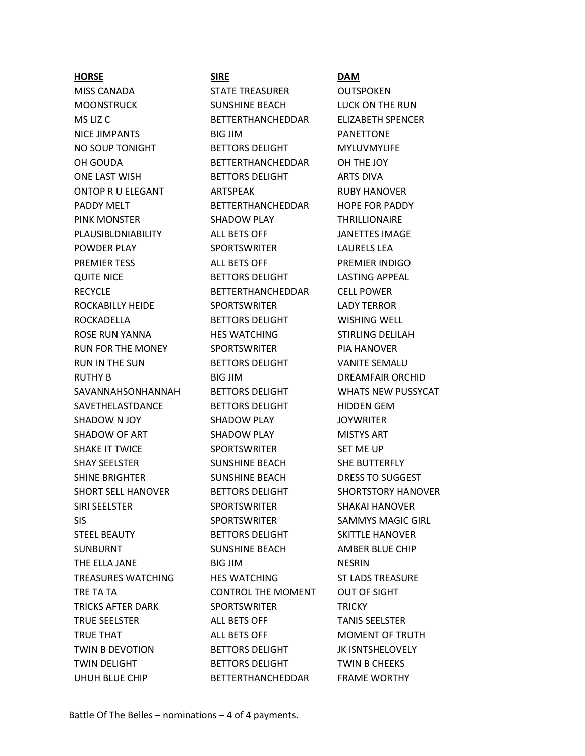### **HORSE SIRE DAM**

MISS CANADA STATE TREASURER OUTSPOKEN MOONSTRUCK SUNSHINE BEACH LUCK ON THE RUN MS LIZ C **BETTERTHANCHEDDAR** ELIZABETH SPENCER NICE JIMPANTS BIG JIM PANETTONE NO SOUP TONIGHT BETTORS DELIGHT MYLUVMYLIFE OH GOUDA BETTERTHANCHEDDAR OH THE JOY ONE LAST WISH BETTORS DELIGHT ARTS DIVA ONTOP R U ELEGANT ARTSPEAK ARTSPEAK RUBY HANOVER PADDY MELT **BETTERTHANCHEDDAR** HOPE FOR PADDY PINK MONSTER SHADOW PLAY THRILLIONAIRE PLAUSIBLDNIABILITY ALL BETS OFF JANETTES IMAGE POWDER PLAY SPORTSWRITER LAURELS LEA PREMIER TESS **ALL BETS OFF PREMIER INDIGO** QUITE NICE **BETTORS DELIGHT** LASTING APPEAL RECYCLE BETTERTHANCHEDDAR CELL POWER ROCKABILLY HEIDE SPORTSWRITER LADY TERROR ROCKADELLA BETTORS DELIGHT WISHING WELL ROSE RUN YANNA HES WATCHING STIRLING DELILAH RUN FOR THE MONEY SPORTSWRITER PIA HANOVER RUN IN THE SUN BETTORS DELIGHT AND VANITE SEMALU RUTHY B BIG JIM BIG DREAMFAIR ORCHID SAVANNAHSONHANNAH BETTORS DELIGHT WHATS NEW PUSSYCAT SAVETHELASTDANCE BETTORS DELIGHT HIDDEN GEM SHADOW N JOY SHADOW PLAY JOYWRITER SHADOW OF ART SHADOW PLAY MISTYS ART SHAKE IT TWICE SPORTSWRITER SET ME UP SHAY SEELSTER SUNSHINE BEACH SHE BUTTERFLY SHINE BRIGHTER SUNSHINE BEACH DRESS TO SUGGEST SHORT SELL HANOVER BETTORS DELIGHT SHORTSTORY HANOVER SIRI SEELSTER SPORTSWRITER SHAKAI HANOVER SIS SPORTSWRITER SAMMYS MAGIC GIRL STEEL BEAUTY **BETTORS DELIGHT** SKITTLE HANOVER SUNBURNT SUNSHINE BEACH AMBER BLUE CHIP THE ELLA JANE BIG JIM NESRIN TREASURES WATCHING HES WATCHING ST LADS TREASURE TRE TA TA TAN TAKE CONTROL THE MOMENT OUT OF SIGHT TRICKS AFTER DARK SPORTSWRITER TRICKY TRUE SEELSTER ALL BETS OFF TANIS SEELSTER TRUE THAT **ALL BETS OFF MOMENT OF TRUTH** TWIN B DEVOTION BETTORS DELIGHT BETTORS DELIGHT TWIN DELIGHT **BETTORS DELIGHT** TWIN B CHEEKS UHUH BLUE CHIP BETTERTHANCHEDDAR FRAME WORTHY